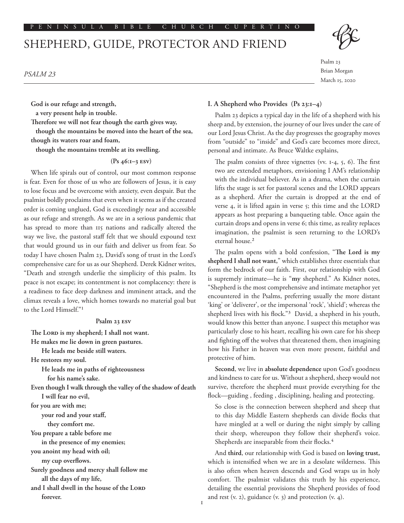# SHEPHERD, GUIDE, PROTECTOR AND FRIEND



Psalm 23 Brian Morgan March 15, 2020

*PSALM 23*

**God is our refuge and strength,**

**a very present help in trouble.**

**Therefore we will not fear though the earth gives way,**

**though the mountains be moved into the heart of the sea, though its waters roar and foam,**

**though the mountains tremble at its swelling.** 

 **(Ps 46:1–3 ESV)**

When life spirals out of control, our most common response is fear. Even for those of us who are followers of Jesus, it is easy to lose focus and be overcome with anxiety, even despair. But the psalmist boldly proclaims that even when it seems as if the created order is coming unglued, God is exceedingly near and accessible as our refuge and strength. As we are in a serious pandemic that has spread to more than 115 nations and radically altered the way we live, the pastoral staff felt that we should expound text that would ground us in our faith and deliver us from fear. So today I have chosen Psalm 23, David's song of trust in the Lord's comprehensive care for us as our Shepherd. Derek Kidner writes, "Death and strength underlie the simplicity of this psalm. Its peace is not escape; its contentment is not complacency: there is a readiness to face deep darkness and imminent attack, and the climax reveals a love, which homes towards no material goal but to the Lord Himself."1

## **Psalm 23 ESV**

**The LORD is my shepherd; I shall not want. He makes me lie down in green pastures. He leads me beside still waters. He restores my soul. He leads me in paths of righteousness for his name's sake. Even though I walk through the valley of the shadow of death I will fear no evil, for you are with me; your rod and your staff, they comfort me. You prepare a table before me in the presence of my enemies; you anoint my head with oil; my cup overflows. Surely goodness and mercy shall follow me all the days of my life, and I shall dwell in the house of the LORD forever.**

## **I. A Shepherd who Provides (Ps 23:1–4)**

Psalm 23 depicts a typical day in the life of a shepherd with his sheep and, by extension, the journey of our lives under the care of our Lord Jesus Christ. As the day progresses the geography moves from "outside" to "inside" and God's care becomes more direct, personal and intimate. As Bruce Waltke explains,

The psalm consists of three vignettes (vv. 1-4, 5, 6). The first two are extended metaphors, envisioning I AM's relationship with the individual believer. As in a drama, when the curtain lifts the stage is set for pastoral scenes and the LORD appears as a shepherd. After the curtain is dropped at the end of verse 4, it is lifted again in verse 5; this time and the LORD appears as host preparing a banqueting table. Once again the curtain drops and opens in verse 6; this time, as reality replaces imagination, the psalmist is seen returning to the LORD's eternal house.<sup>2</sup>

The psalm opens with a bold confession, "**The Lord is my shepherd I shall not want,**" which establishes three essentials that form the bedrock of our faith. First, our relationship with God is supremely intimate—he is "**my** shepherd." As Kidner notes, "Shepherd is the most comprehensive and intimate metaphor yet encountered in the Psalms, preferring usually the more distant 'king' or 'deliverer', or the impersonal 'rock', 'shield'; whereas the shepherd lives with his flock."3 David, a shepherd in his youth, would know this better than anyone. I suspect this metaphor was particularly close to his heart, recalling his own care for his sheep and fighting off the wolves that threatened them, then imagining how his Father in heaven was even more present, faithful and protective of him.

**Second**, we live in **absolute dependence** upon God's goodness and kindness to care for us. Without a shepherd, sheep would not survive, therefore the shepherd must provide everything for the flock—guiding , feeding , disciplining, healing and protecting.

So close is the connection between shepherd and sheep that to this day Middle Eastern shepherds can divide flocks that have mingled at a well or during the night simply by calling their sheep, whereupon they follow their shepherd's voice. Shepherds are inseparable from their flocks.<sup>4</sup>

And **third**, our relationship with God is based on **loving trust,**  which is intensified when we are in a desolate wilderness. This is also often when heaven descends and God wraps us in holy comfort. The psalmist validates this truth by his experience, detailing the essential provisions the Shepherd provides of food and rest (v. 2), guidance (v. 3) and protection (v. 4).

1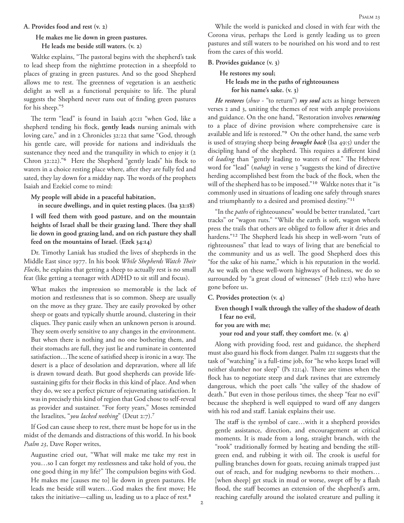#### **A. Provides food and rest (v. 2)**

# **He makes me lie down in green pastures. He leads me beside still waters. (v. 2)**

Waltke explains, "The pastoral begins with the shepherd's task to lead sheep from the nighttime protection in a sheepfold to places of grazing in green pastures. And so the good Shepherd allows me to rest. The greenness of vegetation is an aesthetic delight as well as a functional perquisite to life. The plural suggests the Shepherd never runs out of finding green pastures for his sheep."5

The term "lead" is found in Isaiah 40:11 "when God, like a shepherd tending his flock, **gently leads** nursing animals with loving care," and in 2 Chronicles 32:22 that same "God, through his gentle care, will provide for nations and individuals the sustenance they need and the tranquility in which to enjoy it (2 Chron 32:22)."6 Here the Shepherd "gently leads" his flock to waters in a choice resting place where, after they are fully fed and sated, they lay down for a midday nap. The words of the prophets Isaiah and Ezekiel come to mind:

### **My people will abide in a peaceful habitation,**

**in secure dwellings, and in quiet resting places. (Isa 32:18)**

**I will feed them with good pasture, and on the mountain heights of Israel shall be their grazing land. There they shall lie down in good grazing land, and on rich pasture they shall feed on the mountains of Israel. (Ezek 34:14)**

Dr. Timothy Laniak has studied the lives of shepherds in the Middle East since 1977. In his book *While Shepherds Watch Their Flocks*, he explains that getting a sheep to actually rest is no small feat (like getting a teenager with ADHD to sit still and focus).

What makes the impression so memorable is the lack of motion and restlessness that is so common. Sheep are usually on the move as they graze. They are easily provoked by other sheep or goats and typically shuttle around, clustering in their cliques. They panic easily when an unknown person is around. They seem overly sensitive to any changes in the environment. But when there is nothing and no one bothering them, and their stomachs are full, they just lie and ruminate in contented satisfaction…The scene of satisfied sheep is ironic in a way. The desert is a place of desolation and depravation, where all life is drawn toward death. But good shepherds can provide lifesustaining gifts for their flocks in this kind of place. And when they do, we see a perfect picture of rejuvenating satisfaction. It was in precisely this kind of region that God chose to self-reveal as provider and sustainer. "For forty years," Moses reminded the Israelites, "*you lacked nothing*" (Deut 2:7).7

If God can cause sheep to rest, there must be hope for us in the midst of the demands and distractions of this world. In his book *Psalm 23*, Dave Roper writes,

Augustine cried out, "What will make me take my rest in you…so I can forget my restlessness and take hold of you, the one good thing in my life?" The compulsion begins with God. He makes me [causes me to] lie down in green pastures. He leads me beside still waters…God makes the first move; He takes the initiative—calling us, leading us to a place of rest.<sup>8</sup>

While the world is panicked and closed in with fear with the Corona virus, perhaps the Lord is gently leading us to green pastures and still waters to be nourished on his word and to rest from the cares of this world.

#### **B. Provides guidance (v. 3)**

# **He restores my soul; He leads me in the paths of righteousness for his name's sake. (v. 3)**

*He restores* (*shuv* - "to return") *my soul* acts as hinge between verses 2 and 3, uniting the themes of rest with ample provisions and guidance. On the one hand, "Restoration involves *returning* to a place of divine provision where comprehensive care is available and life is restored."9 On the other hand, the same verb is used of straying sheep being *brought back* (Isa 49:5) under the discipling hand of the shepherd. This requires a different kind of *leading* than "gently leading to waters of rest." The Hebrew word for "lead" (*nahag*) in verse 3 "suggests the kind of directive herding accomplished best from the back of the flock, when the will of the shepherd has to be imposed."10 Waltke notes that it "is commonly used in situations of leading one safely through snares and triumphantly to a desired and promised destiny."11

"In the *paths* of righteousness" would be better translated, "cart tracks" or "wagon ruts." "While the earth is soft, wagon wheels press the trails that others are obliged to follow after it dries and hardens."12 The Shepherd leads his sheep in well-worn "ruts of righteousness" that lead to ways of living that are beneficial to the community and us as well. The good Shepherd does this "for the sake of his name," which is his reputation in the world. As we walk on these well-worn highways of holiness, we do so surrounded by "a great cloud of witnesses" (Heb 12:1) who have gone before us.

## **C. Provides protection (v. 4)**

**Even though I walk through the valley of the shadow of death I fear no evil,** 

## **for you are with me;**

**your rod and your staff, they comfort me. (v. 4)**

Along with providing food, rest and guidance, the shepherd must also guard his flock from danger. Psalm 121 suggests that the task of "watching" is a full-time job, for "he who keeps Israel will neither slumber nor sleep" (Ps 121:4). There are times when the flock has to negotiate steep and dark ravines that are extremely dangerous, which the poet calls "the valley of the shadow of death." But even in those perilous times, the sheep "fear no evil" because the shepherd is well equipped to ward off any dangers with his rod and staff. Laniak explains their use.

The staff is the symbol of care…with it a shepherd provides gentle assistance, direction, and encouragement at critical moments. It is made from a long, straight branch, with the "rook" traditionally formed by heating and bending the stillgreen end, and rubbing it with oil. The crook is useful for pulling branches down for goats, recuing animals trapped just out of reach, and for nudging newborns to their mothers… [when sheep] get stuck in mud or worse, swept off by a flash flood, the staff becomes an extension of the shepherd's arm, reaching carefully around the isolated creature and pulling it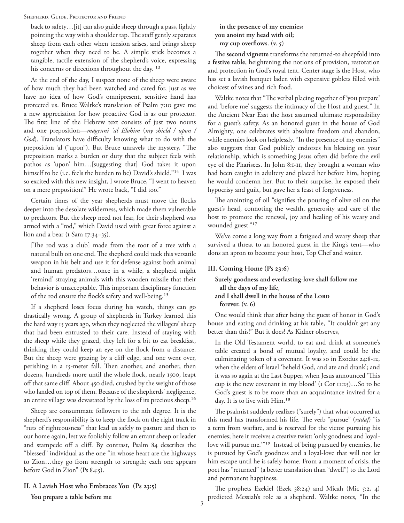#### Shepherd, Guide, Protector and Friend

back to safety…[it] can also guide sheep through a pass, lightly pointing the way with a shoulder tap. The staff gently separates sheep from each other when tension arises, and brings sheep together when they need to be. A simple stick becomes a tangible, tactile extension of the shepherd's voice, expressing his concerns or directions throughout the day.<sup>13</sup>

At the end of the day, I suspect none of the sheep were aware of how much they had been watched and cared for, just as we have no idea of how God's omnipresent, sensitive hand has protected us. Bruce Waltke's translation of Psalm 7:10 gave me a new appreciation for how proactive God is as our protector. The first line of the Hebrew text consists of just two nouns and one preposition—*magenni 'al Elohim* (*my shield / upon / God*). Translators have difficulty knowing what to do with the preposition 'al ("upon"). But Bruce unravels the mystery, "The preposition marks a burden or duty that the subject feels with pathos as 'upon' him…[suggesting that] God takes it upon himself to be (i.e. feels the burden to be) David's shield."14 I was so excited with this new insight, I wrote Bruce, "I went to heaven on a mere preposition!" He wrote back, "I did too."

Certain times of the year shepherds must move the flocks deeper into the desolate wilderness, which made them vulnerable to predators. But the sheep need not fear, for their shepherd was armed with a "rod," which David used with great force against a lion and a bear ( $1$  Sam  $17:34-35$ ).

[The rod was a club] made from the root of a tree with a natural bulb on one end. The shepherd could tuck this versatile weapon in his belt and use it for defense against both animal and human predators…once in a while, a shepherd might 'remind' straying animals with this wooden missile that their behavior is unacceptable. This important disciplinary function of the rod ensure the flock's safety and well-being.15

If a shepherd loses focus during his watch, things can go drastically wrong. A group of shepherds in Turkey learned this the hard way 15 years ago, when they neglected the villagers' sheep that had been entrusted to their care. Instead of staying with the sheep while they grazed, they left for a bit to eat breakfast, thinking they could keep an eye on the flock from a distance. But the sheep were grazing by a cliff edge, and one went over, perishing in a 15-meter fall. Then another, and another, then dozens, hundreds more until the whole flock, nearly 1500, leapt off that same cliff. About 450 died, crushed by the weight of those who landed on top of them. Because of the shepherds' negligence, an entire village was devastated by the loss of its precious sheep.16

Sheep are consummate followers to the nth degree. It is the shepherd's responsibility is to keep the flock on the right track in "ruts of righteousness" that lead us safely to pasture and then to our home again, lest we foolishly follow an errant sheep or leader and stampede off a cliff. By contrast, Psalm 84 describes the "blessed" individual as the one "in whose heart are the highways to Zion…they go from strength to strength; each one appears before God in Zion" (Ps 84:5).

## **II. A Lavish Host who Embraces You (Ps 23:5)**

**You prepare a table before me** 

**in the presence of my enemies; you anoint my head with oil; my cup overflows. (v. 5)**

The **second vignette** transforms the returned-to sheepfold into a **festive table**, heightening the notions of provision, restoration and protection in God's royal tent. Center stage is the Host, who has set a lavish banquet laden with expensive goblets filled with choicest of wines and rich food.

Waltke notes that "The verbal placing together of 'you prepare' and 'before me' suggests the intimacy of the Host and guest." In the Ancient Near East the host assumed ultimate responsibility for a guest's safety. As an honored guest in the house of God Almighty, one celebrates with absolute freedom and abandon, while enemies look on helplessly. "In the presence of my enemies" also suggests that God publicly endorses his blessing on your relationship, which is something Jesus often did before the evil eye of the Pharisees. In John 8:1-11, they brought a woman who had been caught in adultery and placed her before him, hoping he would condemn her. But to their surprise, he exposed their hypocrisy and guilt, but gave her a feast of forgiveness.

The anointing of oil "signifies the pouring of olive oil on the guest's head, connoting the wealth, generosity and care of the host to promote the renewal, joy and healing of his weary and wounded guest."17

We've come a long way from a fatigued and weary sheep that survived a threat to an honored guest in the King's tent—who dons an apron to become your host, Top Chef and waiter.

## **III. Coming Home (Ps 23:6)**

**Surely goodness and everlasting-love shall follow me all the days of my life, and I shall dwell in the house of the LORD forever. (v. 6)**

One would think that after being the guest of honor in God's house and eating and drinking at his table, "It couldn't get any better than this!" But it does! As Kidner observes,

In the Old Testament world, to eat and drink at someone's table created a bond of mutual loyalty, and could be the culminating token of a covenant. It was so in Exodus 24:8-12, when the elders of Israel 'beheld God, and ate and drank'; and it was so again at the Last Supper, when Jesus announced 'This cup is the new covenant in my blood' (1 Cor 11:25)…So to be God's guest is to be more than an acquaintance invited for a day. It is to live with Him.18

The psalmist suddenly realizes ("surely") that what occurred at this meal has transformed his life. The verb "pursue" (*radaf*) "is a term from warfare, and is reserved for the victor pursuing his enemies; here it receives a creative twist: 'only goodness and loyallove will pursue me.'"19 Instead of being pursued by enemies, he is pursued by God's goodness and a loyal-love that will not let him escape until he is safely home. From a moment of crisis, the poet has "returned" (a better translation than "dwell") to the Lord and permanent happiness.

The prophets Ezekiel (Ezek 38:24) and Micah (Mic 5:2, 4) predicted Messiah's role as a shepherd. Waltke notes, "In the